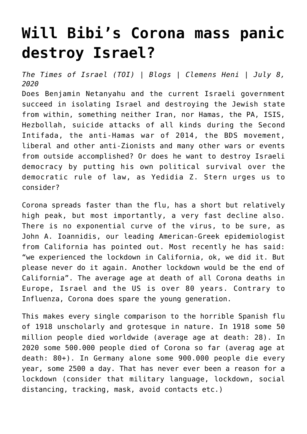## **[Will Bibi's Corona mass panic](https://www.clemensheni.net/will-bibis-corona-mass-panic-destroy-israel/) [destroy Israel?](https://www.clemensheni.net/will-bibis-corona-mass-panic-destroy-israel/)**

*[The Times of Israel](https://blogs.timesofisrael.com/will-bibis-corona-mass-panic-destroy-israel/) (TOI) | Blogs | Clemens Heni | July 8, 2020*

Does Benjamin Netanyahu and the current Israeli government succeed in isolating Israel and destroying the Jewish state from within, something neither Iran, nor Hamas, the PA, ISIS, Hezbollah, suicide attacks of all kinds during the Second Intifada, the anti-Hamas war of 2014, the BDS movement, liberal and other anti-Zionists and many other wars or events from outside accomplished? [Or does he want to destroy Israeli](https://www.jpost.com/israel-news/no-more-shame-no-more-responsibility-634082) [democracy by putting his own political survival over the](https://www.jpost.com/israel-news/no-more-shame-no-more-responsibility-634082) [democratic rule of law, as Yedidia Z. Stern urges us to](https://www.jpost.com/israel-news/no-more-shame-no-more-responsibility-634082) [consider?](https://www.jpost.com/israel-news/no-more-shame-no-more-responsibility-634082)

Corona spreads faster than the flu, has a short but relatively high peak, but most importantly, a very fast decline also. There is no exponential curve of the virus, to be sure, as John A. Ioannidis, our leading American-Greek epidemiologist from California has pointed out. Most recently he has said: "we experienced the lockdown in California, ok, we did it. But please never do it again. Another lockdown would be the end of California". The average age at death of all Corona deaths in Europe, Israel and the US is over 80 years. Contrary to Influenza, Corona does spare the young generation.

This makes every single comparison to the horrible Spanish flu of 1918 unscholarly and grotesque in nature. In 1918 some 50 million people died worldwide (average age at death: 28). In 2020 some 500.000 people died of Corona so far (averag age at death: 80+). In Germany alone some 900.000 people die every year, some 2500 a day. That has never ever been a reason for a lockdown (consider that military language, lockdown, social distancing, tracking, mask, avoid contacts etc.)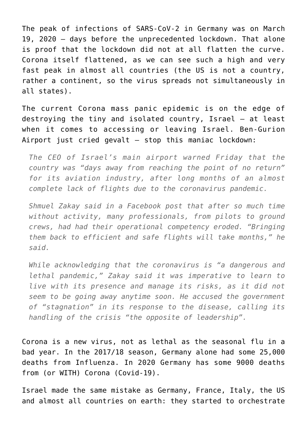The peak of infections of SARS-CoV-2 in Germany was on March 19, 2020 – days before the unprecedented lockdown. That alone is proof that the lockdown did not at all flatten the curve. Corona itself flattened, as we can see such a high and very fast peak in almost all countries (the US is not a country, rather a continent, so the virus spreads not simultaneously in all states).

The current Corona mass panic epidemic is on the edge of destroying the tiny and isolated country, Israel – at least when it comes to accessing or leaving Israel. [Ben-Gurion](https://www.timesofisrael.com/airport-chief-warns-israeli-aviation-is-days-away-form-point-of-no-return/) [Airport just cried gevalt – stop this maniac lockdown](https://www.timesofisrael.com/airport-chief-warns-israeli-aviation-is-days-away-form-point-of-no-return/):

*The CEO of Israel's main airport warned Friday that the country was "days away from reaching the point of no return" for its aviation industry, after long months of an almost complete lack of flights due to the coronavirus pandemic.*

*Shmuel Zakay said in a Facebook post that after so much time without activity, many professionals, from pilots to ground crews, had had their operational competency eroded. "Bringing them back to efficient and safe flights will take months," he said.*

*While acknowledging that the coronavirus is "a dangerous and lethal pandemic," Zakay said it was imperative to learn to live with its presence and manage its risks, as it did not seem to be going away anytime soon. He accused the government of "stagnation" in its response to the disease, calling its handling of the crisis "the opposite of leadership".*

Corona is a new virus, not as lethal as the seasonal flu in a bad year. In the 2017/18 season, Germany alone had some 25,000 deaths from Influenza. In 2020 Germany has some 9000 deaths from (or WITH) Corona (Covid-19).

Israel made the same mistake as Germany, France, Italy, the US and almost all countries on earth: they started to orchestrate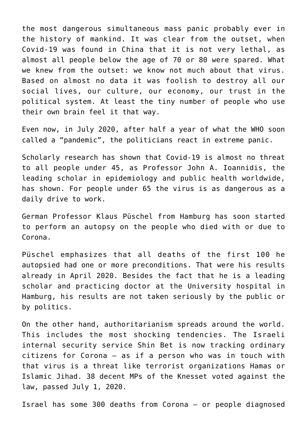the most dangerous simultaneous mass panic probably ever in the history of mankind. It was clear from the outset, when Covid-19 was found in China that it is not very lethal, as almost all people below the age of 70 or 80 were spared. What we knew from the outset: we know not much about that virus. Based on almost no data it was foolish to destroy all our social lives, our culture, our economy, our trust in the political system. At least the tiny number of people who use their own brain feel it that way.

Even now, in July 2020, after half a year of what the WHO soon called a "pandemic", the politicians react in extreme panic.

Scholarly research has shown that Covid-19 is almost no threat to all people under 45, as Professor John A. Ioannidis, the leading scholar in epidemiology and public health worldwide, has shown. For people under 65 the virus is as dangerous as a daily drive to work.

German Professor Klaus Püschel from Hamburg has soon started to perform an autopsy on the people who died with or due to Corona.

[Püschel emphasizes that all deaths of the first 100 he](https://www.welt.de/regionales/hamburg/article207086675/Rechtsmediziner-Pueschel-In-Hamburg-ist-niemand-ohne-Vorerkrankung-an-Corona-gestorben.html) [autopsied had one or more preconditions.](https://www.welt.de/regionales/hamburg/article207086675/Rechtsmediziner-Pueschel-In-Hamburg-ist-niemand-ohne-Vorerkrankung-an-Corona-gestorben.html) That were his results already in April 2020. Besides the fact that he is a leading scholar and practicing doctor at the University hospital in Hamburg, his results are not taken seriously by the public or by politics.

On the other hand, authoritarianism spreads around the world. This includes the most shocking tendencies. The Israeli internal security service Shin Bet is now tracking ordinary citizens for Corona – as if a person who was in touch with that virus is a threat like terrorist organizations Hamas or Islamic Jihad. [38 decent MPs of the Knesset voted against the](https://matzav.com/knesset-approves-shin-bet-tracking-of-covid-19-patients-approved-for-3-weeks/) [law, passed July 1, 2020.](https://matzav.com/knesset-approves-shin-bet-tracking-of-covid-19-patients-approved-for-3-weeks/)

Israel has some 300 deaths from Corona – or people diagnosed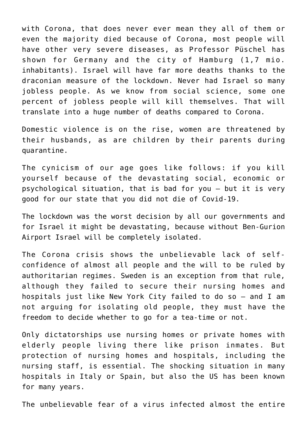with Corona, that does never ever mean they all of them or even the majority died because of Corona, most people will have other very severe diseases, as Professor Püschel has shown for Germany and the city of Hamburg (1,7 mio. inhabitants). Israel will have far more deaths thanks to the draconian measure of the lockdown. Never had Israel so many jobless people. As we know from social science, some one percent of jobless people will kill themselves. That will translate into a huge number of deaths compared to Corona.

Domestic violence is on the rise, women are threatened by their husbands, as are children by their parents during quarantine.

The cynicism of our age goes like follows: if you kill yourself because of the devastating social, economic or psychological situation, that is bad for you – but it is very good for our state that you did not die of Covid-19.

The lockdown was the worst decision by all our governments and for Israel it might be devastating, because without Ben-Gurion Airport Israel will be completely isolated.

The Corona crisis shows the unbelievable lack of selfconfidence of almost all people and the will to be ruled by authoritarian regimes. Sweden is an exception from that rule, although they failed to secure their nursing homes and hospitals just like New York City failed to do so – and I am not arguing for isolating old people, they must have the freedom to decide whether to go for a tea-time or not.

Only dictatorships use nursing homes or private homes with elderly people living there like prison inmates. But protection of nursing homes and hospitals, including the nursing staff, is essential. The shocking situation in many hospitals in Italy or Spain, but also the US has been known for many years.

The unbelievable fear of a virus infected almost the entire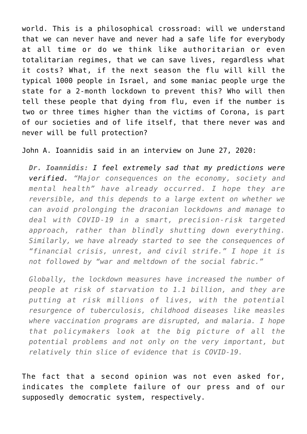world. This is a philosophical crossroad: will we understand that we can never have and never had a safe life for everybody at all time or do we think like authoritarian or even totalitarian regimes, that we can save lives, regardless what it costs? What, if the next season the flu will kill the typical 1000 people in Israel, and some maniac people urge the state for a 2-month lockdown to prevent this? Who will then tell these people that dying from flu, even if the number is two or three times higher than the victims of Corona, is part of our societies and of life itself, that there never was and never will be full protection?

John A. Ioannidis said in an interview on June 27, 2020:

*Dr. Ioannidis: [I feel extremely sad that my predictions were](https://usa.greekreporter.com/2020/06/27/up-to-300-million-people-may-be-infected-by-covid-19-stanford-guru-john-ioannidis-says/) [verified.](https://usa.greekreporter.com/2020/06/27/up-to-300-million-people-may-be-infected-by-covid-19-stanford-guru-john-ioannidis-says/) "Major consequences on the economy, society and mental health" have already occurred. I hope they are reversible, and this depends to a large extent on whether we can avoid prolonging the draconian lockdowns and manage to deal with COVID-19 in a smart, precision-risk targeted approach, rather than blindly shutting down everything. Similarly, we have already started to see the consequences of "financial crisis, unrest, and civil strife." I hope it is not followed by "war and meltdown of the social fabric."*

*Globally, the lockdown measures have increased the number of people at risk of starvation to 1.1 billion, and they are putting at risk millions of lives, with the potential resurgence of tuberculosis, childhood diseases like measles where vaccination programs are disrupted, and malaria. I hope that policymakers look at the big picture of all the potential problems and not only on the very important, but relatively thin slice of evidence that is COVID-19.*

The fact that a second opinion was not even asked for, indicates the complete failure of our press and of our supposedly democratic system, respectively.